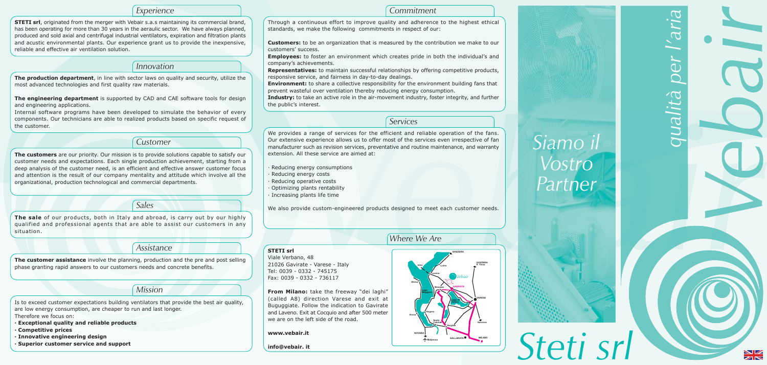#### Experience

**STETI srl**, originated from the merger with Vebair s.a.s maintaining its commercial brand, has been operating for more than 30 years in the aeraulic sector. We have always planned, produced and sold axial and centrifugal industrial ventilators, expiration and filtration plants and acustic environmental plants. Our experience grant us to provide the inexpensive, reliable and effective air ventilation solution.

*Innovation* 

The production department, in line with sector laws on quality and security, utilize the most advanced technologies and first quality raw materials.

The engineering department is supported by CAD and CAE software tools for design and engineering applications.

Internal software programs have been developed to simulate the behavior of every components. Our technicians are able to realized products based on specific request of the customer.

Customer

The customers are our priority. Our mission is to provide solutions capable to satisfy our customer needs and expectations. Each single production achievement, starting from a deep analysis of the customer need, is an efficient and effective answer customer focus and attention is the result of our company mentality and attitude which involve all the organizational, production technological and commercial departments.

Sales

The sale of our products, both in Italy and abroad, is carry out by our highly qualified and professional agents that are able to assist our customers in any situation.

Assistance

The customer assistance involve the planning, production and the pre and post selling phase granting rapid answers to our customers needs and concrete benefits.

#### Mission

Is to exceed customer expectations building ventilators that provide the best air quality, are low energy consumption, are cheaper to run and last longer. Therefore we focus on:

- · Exceptional quality and reliable products
- Competitive prices
- · Innovative engineering design
- **Superior customer service and support**

Through a continuous effort to improve quality and adherence to the highest ethical standards, we make the following commitments in respect of our:

**Customers:** to be an organization that is measured by the contribution we make to our customers' success.

**Employees:** to foster an environment which creates pride in both the individual's and company's achievements.

**Representatives:** to maintain successful relationships by offering competitive products, responsive service, and fairness in day-to-day dealings. **Environment:** to share a collective responsibility for the environment building fans that prevent wasteful over ventilation thereby reducing energy consumption. Industry: to take an active role in the air-movement industry, foster integrity, and further the public's interest.

We provides a range of services for the efficient and reliable operation of the fans. Our extensive experience allows us to offer most of the services even irrespective of fan manufacturer such as revision services, preventative and routine maintenance, and warranty extension. All these service are aimed at:

- Reducing energy consumptions
- Reducing energy costs
- Reducing operative costs
- Optimizing plants rentability
- · Increasing plants life time

We also provide custom-engineered products designed to meet each customer needs.

# **STETI srl**

Viale Verbano, 48 21026 Gavirate - Varese - Italy Tel: 0039 - 0332 - 745175 Fax: 0039 - 0332 - 736117

From Milano: take the freeway "dei laghi" (called A8) direction Varese and exit at Buguggiate. Follow the indication to Gavirate and Laveno. Exit at Cocquio and after 500 meter we are on the left side of the road.

#### www.vebair.it

info@vebair. it

#### Commitment

- 
- 
- 
- 
- 

#### Services

# Where We Are





Steti srl